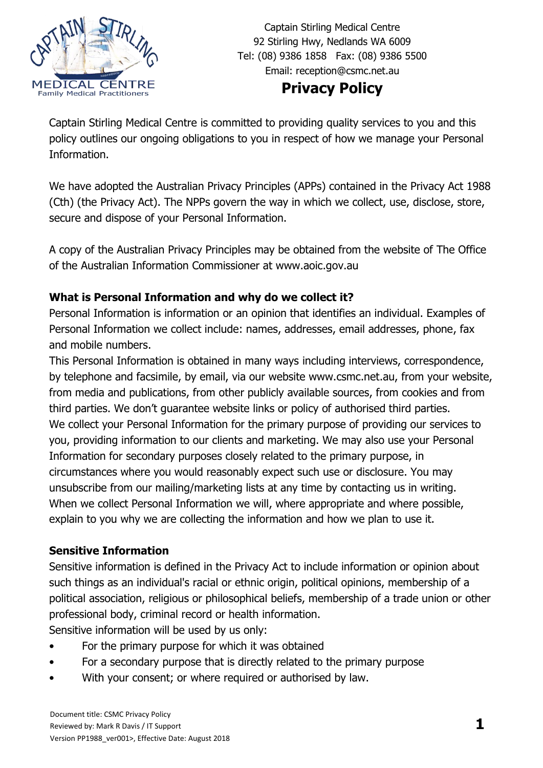

Captain Stirling Medical Centre 92 Stirling Hwy, Nedlands WA 6009 Tel: (08) 9386 1858 Fax: (08) 9386 5500 Email: [reception@csmc.net.au](mailto:reception@csmc.net.au)

# **Privacy Policy**

Captain Stirling Medical Centre is committed to providing quality services to you and this policy outlines our ongoing obligations to you in respect of how we manage your Personal Information.

We have adopted the Australian Privacy Principles (APPs) contained in the Privacy Act 1988 (Cth) (the Privacy Act). The NPPs govern the way in which we collect, use, disclose, store, secure and dispose of your Personal Information.

A copy of the Australian Privacy Principles may be obtained from the website of The Office of the Australian Information Commissioner at [www.aoic.gov.au](http://www.aoic.gov.au/)

## **What is Personal Information and why do we collect it?**

Personal Information is information or an opinion that identifies an individual. Examples of Personal Information we collect include: names, addresses, email addresses, phone, fax and mobile numbers.

This Personal Information is obtained in many ways including interviews, correspondence, by telephone and facsimile, by email, via our website www.csmc.net.au, from your website, from media and publications, from other publicly available sources, from cookies and from third parties. We don't guarantee website links or policy of authorised third parties. We collect your Personal Information for the primary purpose of providing our services to you, providing information to our clients and marketing. We may also use your Personal Information for secondary purposes closely related to the primary purpose, in circumstances where you would reasonably expect such use or disclosure. You may unsubscribe from our mailing/marketing lists at any time by contacting us in writing. When we collect Personal Information we will, where appropriate and where possible, explain to you why we are collecting the information and how we plan to use it.

#### **Sensitive Information**

Sensitive information is defined in the Privacy Act to include information or opinion about such things as an individual's racial or ethnic origin, political opinions, membership of a political association, religious or philosophical beliefs, membership of a trade union or other professional body, criminal record or health information.

Sensitive information will be used by us only:

- For the primary purpose for which it was obtained
- For a secondary purpose that is directly related to the primary purpose
- With your consent; or where required or authorised by law.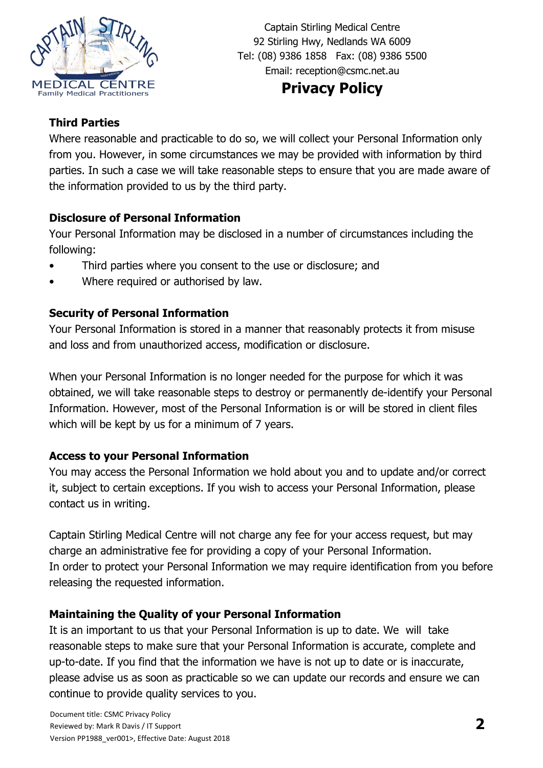

Captain Stirling Medical Centre 92 Stirling Hwy, Nedlands WA 6009 Tel: (08) 9386 1858 Fax: (08) 9386 5500 Email: [reception@csmc.net.au](mailto:reception@csmc.net.au)

# **Privacy Policy**

#### **Third Parties**

Where reasonable and practicable to do so, we will collect your Personal Information only from you. However, in some circumstances we may be provided with information by third parties. In such a case we will take reasonable steps to ensure that you are made aware of the information provided to us by the third party.

#### **Disclosure of Personal Information**

Your Personal Information may be disclosed in a number of circumstances including the following:

- Third parties where you consent to the use or disclosure; and
- Where required or authorised by law.

## **Security of Personal Information**

Your Personal Information is stored in a manner that reasonably protects it from misuse and loss and from unauthorized access, modification or disclosure.

When your Personal Information is no longer needed for the purpose for which it was obtained, we will take reasonable steps to destroy or permanently de-identify your Personal Information. However, most of the Personal Information is or will be stored in client files which will be kept by us for a minimum of 7 years.

## **Access to your Personal Information**

You may access the Personal Information we hold about you and to update and/or correct it, subject to certain exceptions. If you wish to access your Personal Information, please contact us in writing.

Captain Stirling Medical Centre will not charge any fee for your access request, but may charge an administrative fee for providing a copy of your Personal Information. In order to protect your Personal Information we may require identification from you before releasing the requested information.

## **Maintaining the Quality of your Personal Information**

It is an important to us that your Personal Information is up to date. We will take reasonable steps to make sure that your Personal Information is accurate, complete and up-to-date. If you find that the information we have is not up to date or is inaccurate, please advise us as soon as practicable so we can update our records and ensure we can continue to provide quality services to you.